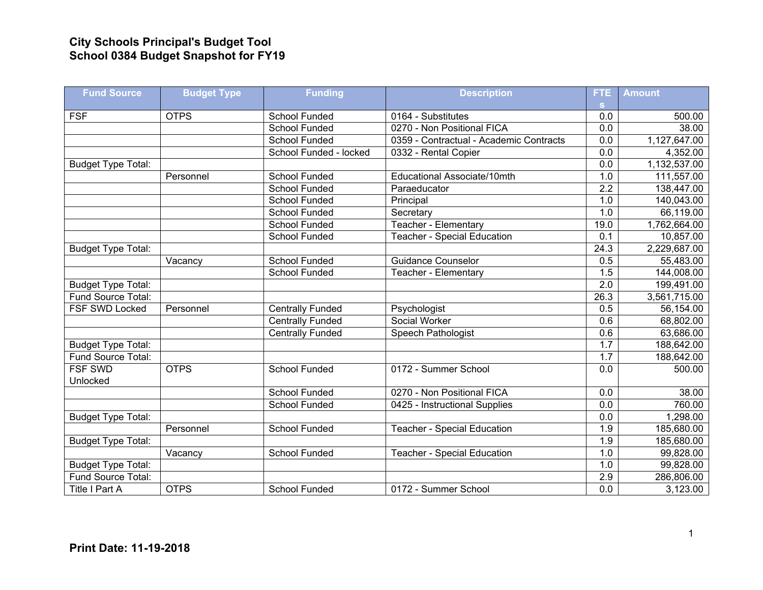## **City Schools Principal's Budget Tool School 0384 Budget Snapshot for FY19**

| <b>Fund Source</b>        | <b>Budget Type</b> | <b>Funding</b>          | <b>Description</b>                      | <b>FTE</b>       | <b>Amount</b> |
|---------------------------|--------------------|-------------------------|-----------------------------------------|------------------|---------------|
|                           |                    |                         |                                         | <b>S</b>         |               |
| <b>FSF</b>                | <b>OTPS</b>        | <b>School Funded</b>    | 0164 - Substitutes                      | 0.0              | 500.00        |
|                           |                    | School Funded           | 0270 - Non Positional FICA              | $\overline{0.0}$ | 38.00         |
|                           |                    | School Funded           | 0359 - Contractual - Academic Contracts | 0.0              | 1,127,647.00  |
|                           |                    | School Funded - locked  | 0332 - Rental Copier                    | 0.0              | 4,352.00      |
| <b>Budget Type Total:</b> |                    |                         |                                         | 0.0              | 1,132,537.00  |
|                           | Personnel          | School Funded           | Educational Associate/10mth             | 1.0              | 111,557.00    |
|                           |                    | <b>School Funded</b>    | Paraeducator                            | $\overline{2.2}$ | 138,447.00    |
|                           |                    | <b>School Funded</b>    | Principal                               | 1.0              | 140,043.00    |
|                           |                    | <b>School Funded</b>    | Secretary                               | 1.0              | 66,119.00     |
|                           |                    | School Funded           | Teacher - Elementary                    | 19.0             | 1,762,664.00  |
|                           |                    | <b>School Funded</b>    | <b>Teacher - Special Education</b>      | 0.1              | 10,857.00     |
| <b>Budget Type Total:</b> |                    |                         |                                         | 24.3             | 2,229,687.00  |
|                           | Vacancy            | <b>School Funded</b>    | <b>Guidance Counselor</b>               | 0.5              | 55,483.00     |
|                           |                    | School Funded           | Teacher - Elementary                    | 1.5              | 144,008.00    |
| <b>Budget Type Total:</b> |                    |                         |                                         | 2.0              | 199,491.00    |
| Fund Source Total:        |                    |                         |                                         | 26.3             | 3,561,715.00  |
| <b>FSF SWD Locked</b>     | Personnel          | <b>Centrally Funded</b> | Psychologist                            | 0.5              | 56,154.00     |
|                           |                    | <b>Centrally Funded</b> | Social Worker                           | 0.6              | 68,802.00     |
|                           |                    | Centrally Funded        | <b>Speech Pathologist</b>               | 0.6              | 63,686.00     |
| <b>Budget Type Total:</b> |                    |                         |                                         | 1.7              | 188,642.00    |
| Fund Source Total:        |                    |                         |                                         | 1.7              | 188,642.00    |
| <b>FSF SWD</b>            | <b>OTPS</b>        | School Funded           | 0172 - Summer School                    | 0.0              | 500.00        |
| Unlocked                  |                    |                         |                                         |                  |               |
|                           |                    | <b>School Funded</b>    | 0270 - Non Positional FICA              | 0.0              | 38.00         |
|                           |                    | School Funded           | 0425 - Instructional Supplies           | 0.0              | 760.00        |
| <b>Budget Type Total:</b> |                    |                         |                                         | 0.0              | 1,298.00      |
|                           | Personnel          | <b>School Funded</b>    | <b>Teacher - Special Education</b>      | 1.9              | 185,680.00    |
| <b>Budget Type Total:</b> |                    |                         |                                         | 1.9              | 185,680.00    |
|                           | Vacancy            | <b>School Funded</b>    | <b>Teacher - Special Education</b>      | 1.0              | 99,828.00     |
| <b>Budget Type Total:</b> |                    |                         |                                         | 1.0              | 99,828.00     |
| Fund Source Total:        |                    |                         |                                         | 2.9              | 286,806.00    |
| Title I Part A            | <b>OTPS</b>        | School Funded           | 0172 - Summer School                    | 0.0              | 3,123.00      |